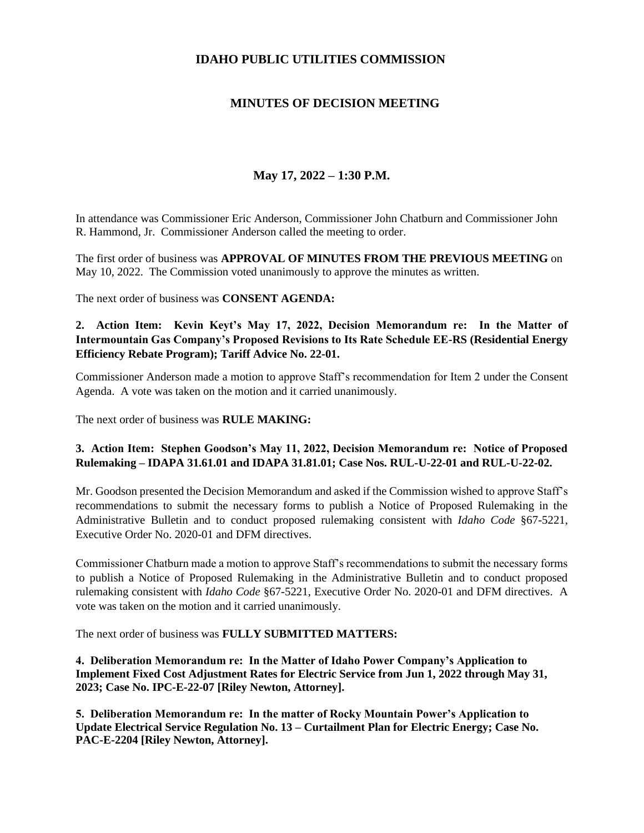### **IDAHO PUBLIC UTILITIES COMMISSION**

# **MINUTES OF DECISION MEETING**

# **May 17, 2022 – 1:30 P.M.**

In attendance was Commissioner Eric Anderson, Commissioner John Chatburn and Commissioner John R. Hammond, Jr. Commissioner Anderson called the meeting to order.

The first order of business was **APPROVAL OF MINUTES FROM THE PREVIOUS MEETING** on May 10, 2022. The Commission voted unanimously to approve the minutes as written.

The next order of business was **CONSENT AGENDA:**

#### **2. Action Item: Kevin Keyt's May 17, 2022, Decision Memorandum re: In the Matter of Intermountain Gas Company's Proposed Revisions to Its Rate Schedule EE-RS (Residential Energy Efficiency Rebate Program); Tariff Advice No. 22-01.**

Commissioner Anderson made a motion to approve Staff's recommendation for Item 2 under the Consent Agenda. A vote was taken on the motion and it carried unanimously.

The next order of business was **RULE MAKING:**

#### **3. Action Item: Stephen Goodson's May 11, 2022, Decision Memorandum re: Notice of Proposed Rulemaking – IDAPA 31.61.01 and IDAPA 31.81.01; Case Nos. RUL-U-22-01 and RUL-U-22-02.**

Mr. Goodson presented the Decision Memorandum and asked if the Commission wished to approve Staff's recommendations to submit the necessary forms to publish a Notice of Proposed Rulemaking in the Administrative Bulletin and to conduct proposed rulemaking consistent with *Idaho Code* §67-5221, Executive Order No. 2020-01 and DFM directives.

Commissioner Chatburn made a motion to approve Staff's recommendations to submit the necessary forms to publish a Notice of Proposed Rulemaking in the Administrative Bulletin and to conduct proposed rulemaking consistent with *Idaho Code* §67-5221, Executive Order No. 2020-01 and DFM directives. A vote was taken on the motion and it carried unanimously.

The next order of business was **FULLY SUBMITTED MATTERS:**

**4. Deliberation Memorandum re: In the Matter of Idaho Power Company's Application to Implement Fixed Cost Adjustment Rates for Electric Service from Jun 1, 2022 through May 31, 2023; Case No. IPC-E-22-07 [Riley Newton, Attorney].**

**5. Deliberation Memorandum re: In the matter of Rocky Mountain Power's Application to Update Electrical Service Regulation No. 13 – Curtailment Plan for Electric Energy; Case No. PAC-E-2204 [Riley Newton, Attorney].**